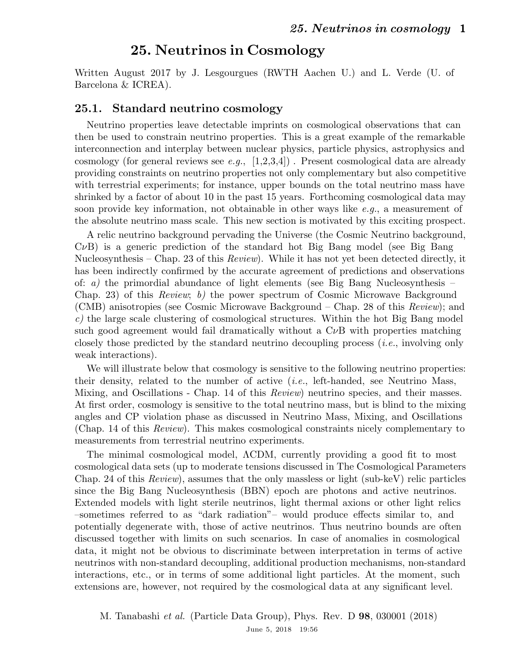Written August 2017 by J. Lesgourgues (RWTH Aachen U.) and L. Verde (U. of Barcelona & ICREA).

#### 25.1. Standard neutrino cosmology

Neutrino properties leave detectable imprints on cosmological observations that can then be used to constrain neutrino properties. This is a great example of the remarkable interconnection and interplay between nuclear physics, particle physics, astrophysics and cosmology (for general reviews see e.g.,  $[1,2,3,4]$ ). Present cosmological data are already providing constraints on neutrino properties not only complementary but also competitive with terrestrial experiments; for instance, upper bounds on the total neutrino mass have shrinked by a factor of about 10 in the past 15 years. Forthcoming cosmological data may soon provide key information, not obtainable in other ways like e.g., a measurement of the absolute neutrino mass scale. This new section is motivated by this exciting prospect.

A relic neutrino background pervading the Universe (the Cosmic Neutrino background,  $C\nu B$ ) is a generic prediction of the standard hot Big Bang model (see Big Bang Nucleosynthesis – Chap. 23 of this *Review*). While it has not yet been detected directly, it has been indirectly confirmed by the accurate agreement of predictions and observations of: a) the primordial abundance of light elements (see Big Bang Nucleosynthesis – Chap. 23) of this Review; b) the power spectrum of Cosmic Microwave Background (CMB) anisotropies (see Cosmic Microwave Background – Chap. 28 of this Review); and  $c$ ) the large scale clustering of cosmological structures. Within the hot Big Bang model such good agreement would fail dramatically without a  $C_{\nu}B$  with properties matching closely those predicted by the standard neutrino decoupling process (i.e., involving only weak interactions).

We will illustrate below that cosmology is sensitive to the following neutrino properties: their density, related to the number of active  $(i.e.,$  left-handed, see Neutrino Mass, Mixing, and Oscillations - Chap. 14 of this *Review*) neutrino species, and their masses. At first order, cosmology is sensitive to the total neutrino mass, but is blind to the mixing angles and CP violation phase as discussed in Neutrino Mass, Mixing, and Oscillations (Chap. 14 of this Review). This makes cosmological constraints nicely complementary to measurements from terrestrial neutrino experiments.

The minimal cosmological model, ΛCDM, currently providing a good fit to most cosmological data sets (up to moderate tensions discussed in The Cosmological Parameters Chap. 24 of this *Review*), assumes that the only massless or light (sub-keV) relic particles since the Big Bang Nucleosynthesis (BBN) epoch are photons and active neutrinos. Extended models with light sterile neutrinos, light thermal axions or other light relics –sometimes referred to as "dark radiation"– would produce effects similar to, and potentially degenerate with, those of active neutrinos. Thus neutrino bounds are often discussed together with limits on such scenarios. In case of anomalies in cosmological data, it might not be obvious to discriminate between interpretation in terms of active neutrinos with non-standard decoupling, additional production mechanisms, non-standard interactions, etc., or in terms of some additional light particles. At the moment, such extensions are, however, not required by the cosmological data at any significant level.

M. Tanabashi et al. (Particle Data Group), Phys. Rev. D 98, 030001 (2018) June 5, 2018 19:56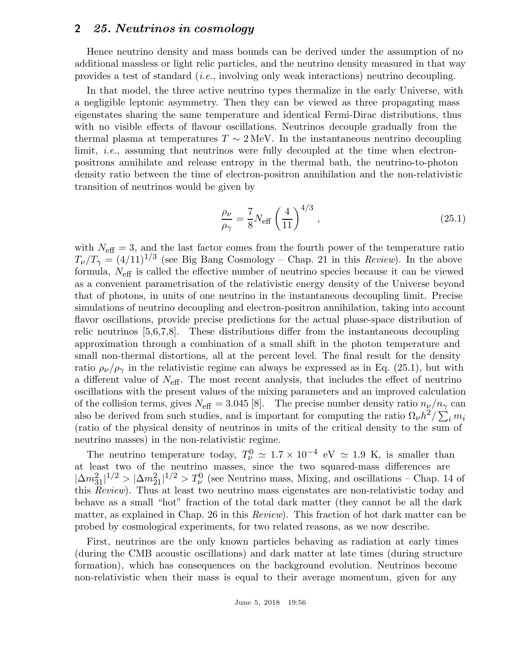Hence neutrino density and mass bounds can be derived under the assumption of no additional massless or light relic particles, and the neutrino density measured in that way provides a test of standard (i.e., involving only weak interactions) neutrino decoupling.

In that model, the three active neutrino types thermalize in the early Universe, with a negligible leptonic asymmetry. Then they can be viewed as three propagating mass eigenstates sharing the same temperature and identical Fermi-Dirac distributions, thus with no visible effects of flavour oscillations. Neutrinos decouple gradually from the thermal plasma at temperatures  $T \sim 2 \text{ MeV}$ . In the instantaneous neutrino decoupling limit, i.e., assuming that neutrinos were fully decoupled at the time when electronpositrons annihilate and release entropy in the thermal bath, the neutrino-to-photon density ratio between the time of electron-positron annihilation and the non-relativistic transition of neutrinos would be given by

$$
\frac{\rho_{\nu}}{\rho_{\gamma}} = \frac{7}{8} N_{\text{eff}} \left(\frac{4}{11}\right)^{4/3},\qquad(25.1)
$$

with  $N_{\text{eff}} = 3$ , and the last factor comes from the fourth power of the temperature ratio  $T_{\nu}/T_{\gamma} = (4/11)^{1/3}$  (see Big Bang Cosmology – Chap. 21 in this *Review*). In the above formula,  $N_{\text{eff}}$  is called the effective number of neutrino species because it can be viewed as a convenient parametrisation of the relativistic energy density of the Universe beyond that of photons, in units of one neutrino in the instantaneous decoupling limit. Precise simulations of neutrino decoupling and electron-positron annihilation, taking into account flavor oscillations, provide precise predictions for the actual phase-space distribution of relic neutrinos [5,6,7,8]. These distributions differ from the instantaneous decoupling approximation through a combination of a small shift in the photon temperature and small non-thermal distortions, all at the percent level. The final result for the density ratio  $\rho_{\nu}/\rho_{\gamma}$  in the relativistic regime can always be expressed as in Eq. (25.1), but with a different value of  $N_{\text{eff}}$ . The most recent analysis, that includes the effect of neutrino oscillations with the present values of the mixing parameters and an improved calculation of the collision terms, gives  $N_{\text{eff}} = 3.045$  [8]. The precise number density ratio  $n_{\nu}/n_{\gamma}$  can also be derived from such studies, and is important for computing the ratio  $\Omega_{\nu}h^2/\sum_i m_i$ (ratio of the physical density of neutrinos in units of the critical density to the sum of neutrino masses) in the non-relativistic regime.

The neutrino temperature today,  $T_{\nu}^0 \simeq 1.7 \times 10^{-4}$  eV  $\simeq 1.9$  K, is smaller than at least two of the neutrino masses, since the two squared-mass differences are  $|\Delta m_{31}^2|^{1/2} > |\Delta m_{21}^2|^{1/2} > T_{\nu}^0$  (see Neutrino mass, Mixing, and oscillations – Chap. 14 of this Review). Thus at least two neutrino mass eigenstates are non-relativistic today and behave as a small "hot" fraction of the total dark matter (they cannot be all the dark matter, as explained in Chap. 26 in this Review). This fraction of hot dark matter can be probed by cosmological experiments, for two related reasons, as we now describe.

First, neutrinos are the only known particles behaving as radiation at early times (during the CMB acoustic oscillations) and dark matter at late times (during structure formation), which has consequences on the background evolution. Neutrinos become non-relativistic when their mass is equal to their average momentum, given for any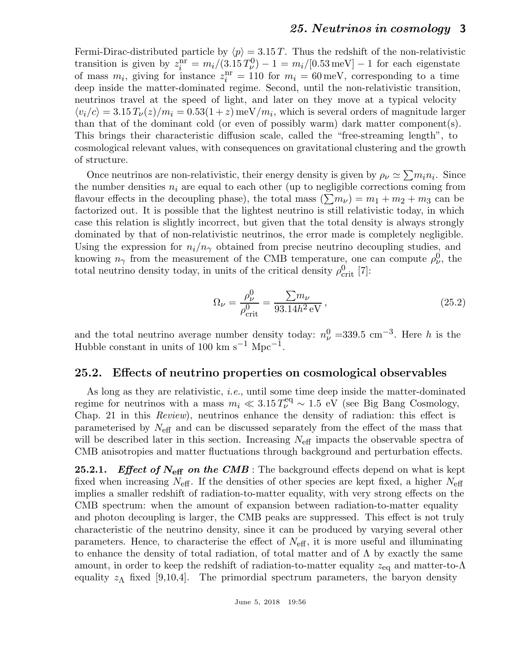Fermi-Dirac-distributed particle by  $\langle p \rangle = 3.15 \text{ T}$ . Thus the redshift of the non-relativistic transition is given by  $z_i^{\text{nr}} = m_i/(3.15 \, T_\nu^0) - 1 = m_i/[0.53 \,\text{meV}] - 1$  for each eigenstate of mass  $m_i$ , giving for instance  $z_i^{\text{nr}} = 110$  for  $m_i = 60 \,\text{meV}$ , corresponding to a time deep inside the matter-dominated regime. Second, until the non-relativistic transition, neutrinos travel at the speed of light, and later on they move at a typical velocity  $\langle v_i/c \rangle = 3.15 T_\nu(z)/m_i = 0.53(1+z) \,\text{meV}/m_i$ , which is several orders of magnitude larger than that of the dominant cold (or even of possibly warm) dark matter component(s). This brings their characteristic diffusion scale, called the "free-streaming length", to cosmological relevant values, with consequences on gravitational clustering and the growth of structure.

Once neutrinos are non-relativistic, their energy density is given by  $\rho_{\nu} \simeq \sum m_i n_i$ . Since the number densities  $n_i$  are equal to each other (up to negligible corrections coming from flavour effects in the decoupling phase), the total mass  $(\sum m_{\nu}) = m_1 + m_2 + m_3$  can be factorized out. It is possible that the lightest neutrino is still relativistic today, in which case this relation is slightly incorrect, but given that the total density is always strongly dominated by that of non-relativistic neutrinos, the error made is completely negligible. Using the expression for  $n_i/n_\gamma$  obtained from precise neutrino decoupling studies, and knowing  $n_{\gamma}$  from the measurement of the CMB temperature, one can compute  $\rho_{\nu}^{0}$ , the total neutrino density today, in units of the critical density  $\rho_{\rm crit}^0$  [7]:

$$
\Omega_{\nu} = \frac{\rho_{\nu}^{0}}{\rho_{\text{crit}}^{0}} = \frac{\sum m_{\nu}}{93.14h^{2} \text{ eV}},
$$
\n(25.2)

and the total neutrino average number density today:  $n_{\nu}^0 = 339.5$  cm<sup>-3</sup>. Here h is the Hubble constant in units of 100 km s<sup>-1</sup> Mpc<sup>-1</sup>.

### 25.2. Effects of neutrino properties on cosmological observables

As long as they are relativistic, i.e., until some time deep inside the matter-dominated regime for neutrinos with a mass  $m_i \ll 3.15 T_{\nu}^{\text{eq}} \sim 1.5 \text{ eV}$  (see Big Bang Cosmology, Chap. 21 in this Review), neutrinos enhance the density of radiation: this effect is parameterised by  $N_{\text{eff}}$  and can be discussed separately from the effect of the mass that will be described later in this section. Increasing  $N_{\text{eff}}$  impacts the observable spectra of CMB anisotropies and matter fluctuations through background and perturbation effects.

**25.2.1.** Effect of  $N_{\text{eff}}$  on the CMB: The background effects depend on what is kept fixed when increasing  $N_{\text{eff}}$ . If the densities of other species are kept fixed, a higher  $N_{\text{eff}}$ implies a smaller redshift of radiation-to-matter equality, with very strong effects on the CMB spectrum: when the amount of expansion between radiation-to-matter equality and photon decoupling is larger, the CMB peaks are suppressed. This effect is not truly characteristic of the neutrino density, since it can be produced by varying several other parameters. Hence, to characterise the effect of  $N_{\text{eff}}$ , it is more useful and illuminating to enhance the density of total radiation, of total matter and of  $\Lambda$  by exactly the same amount, in order to keep the redshift of radiation-to-matter equality  $z_{eq}$  and matter-to- $\Lambda$ equality  $z_{\Lambda}$  fixed [9,10,4]. The primordial spectrum parameters, the baryon density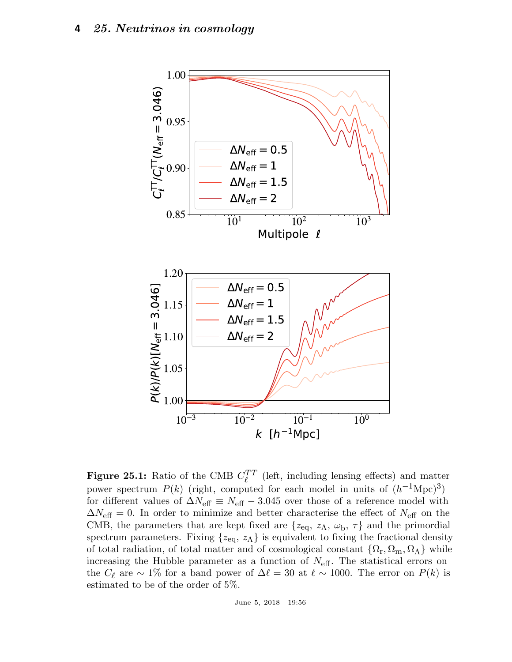

**Figure 25.1:** Ratio of the CMB  $C_{\ell}^{TT}$  $\ell^{TT}$  (left, including lensing effects) and matter power spectrum  $P(k)$  (right, computed for each model in units of  $(h^{-1}\text{Mpc})^3$ ) for different values of  $\Delta N_{\text{eff}} \equiv N_{\text{eff}} - 3.045$  over those of a reference model with  $\Delta N_{\text{eff}} = 0$ . In order to minimize and better characterise the effect of  $N_{\text{eff}}$  on the CMB, the parameters that are kept fixed are  $\{z_{eq}, z_{\Lambda}, \omega_{\rm b}, \tau\}$  and the primordial spectrum parameters. Fixing  $\{z_{eq}, z_{\Lambda}\}\$ is equivalent to fixing the fractional density of total radiation, of total matter and of cosmological constant  $\{\Omega_{\rm r}, \Omega_{\rm m}, \Omega_{\Lambda}\}\$  while increasing the Hubble parameter as a function of  $N_{\text{eff}}$ . The statistical errors on the  $C_{\ell}$  are  $\sim 1\%$  for a band power of  $\Delta \ell = 30$  at  $\ell \sim 1000$ . The error on  $P(k)$  is estimated to be of the order of 5%.

June 5, 2018 19:56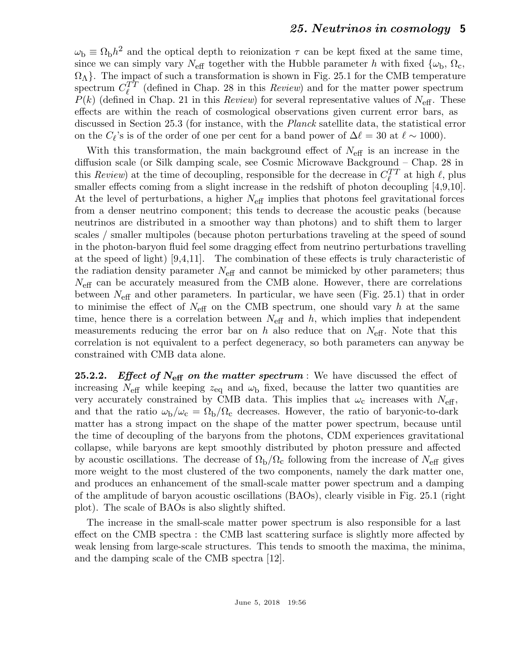$\omega_{\rm b} \equiv \Omega_{\rm b}h^2$  and the optical depth to reionization  $\tau$  can be kept fixed at the same time, since we can simply vary  $N_{\text{eff}}$  together with the Hubble parameter h with fixed  $\{\omega_{\text{b}}, \Omega_{\text{c}},\}$  $\{\Omega_{\Lambda}\}\$ . The impact of such a transformation is shown in Fig. 25.1 for the CMB temperature spectrum  $C_{\ell}^{TT}$  $\ell^{TT}$  (defined in Chap. 28 in this *Review*) and for the matter power spectrum  $P(k)$  (defined in Chap. 21 in this *Review*) for several representative values of  $N_{\text{eff}}$ . These effects are within the reach of cosmological observations given current error bars, as discussed in Section 25.3 (for instance, with the Planck satellite data, the statistical error on the  $C_{\ell}$ 's is of the order of one per cent for a band power of  $\Delta \ell = 30$  at  $\ell \sim 1000$ ).

With this transformation, the main background effect of  $N_{\text{eff}}$  is an increase in the diffusion scale (or Silk damping scale, see Cosmic Microwave Background – Chap. 28 in this *Review*) at the time of decoupling, responsible for the decrease in  $C_{\ell}^{TT}$  $\ell_t^{TT}$  at high  $\ell$ , plus smaller effects coming from a slight increase in the redshift of photon decoupling [4,9,10]. At the level of perturbations, a higher  $N_{\text{eff}}$  implies that photons feel gravitational forces from a denser neutrino component; this tends to decrease the acoustic peaks (because neutrinos are distributed in a smoother way than photons) and to shift them to larger scales / smaller multipoles (because photon perturbations traveling at the speed of sound in the photon-baryon fluid feel some dragging effect from neutrino perturbations travelling at the speed of light) [9,4,11]. The combination of these effects is truly characteristic of the radiation density parameter  $N_{\text{eff}}$  and cannot be mimicked by other parameters; thus  $N_{\text{eff}}$  can be accurately measured from the CMB alone. However, there are correlations between  $N_{\text{eff}}$  and other parameters. In particular, we have seen (Fig. 25.1) that in order to minimise the effect of  $N_{\text{eff}}$  on the CMB spectrum, one should vary h at the same time, hence there is a correlation between  $N_{\text{eff}}$  and h, which implies that independent measurements reducing the error bar on h also reduce that on  $N_{\text{eff}}$ . Note that this correlation is not equivalent to a perfect degeneracy, so both parameters can anyway be constrained with CMB data alone.

**25.2.2.** Effect of  $N_{\text{eff}}$  on the matter spectrum : We have discussed the effect of increasing  $N_{\text{eff}}$  while keeping  $z_{\text{eq}}$  and  $\omega_{\text{b}}$  fixed, because the latter two quantities are very accurately constrained by CMB data. This implies that  $\omega_c$  increases with  $N_{\text{eff}}$ , and that the ratio  $\omega_{\rm b}/\omega_{\rm c} = \Omega_{\rm b}/\Omega_{\rm c}$  decreases. However, the ratio of baryonic-to-dark matter has a strong impact on the shape of the matter power spectrum, because until the time of decoupling of the baryons from the photons, CDM experiences gravitational collapse, while baryons are kept smoothly distributed by photon pressure and affected by acoustic oscillations. The decrease of  $\Omega_{\rm b}/\Omega_{\rm c}$  following from the increase of  $N_{\rm eff}$  gives more weight to the most clustered of the two components, namely the dark matter one, and produces an enhancement of the small-scale matter power spectrum and a damping of the amplitude of baryon acoustic oscillations (BAOs), clearly visible in Fig. 25.1 (right plot). The scale of BAOs is also slightly shifted.

The increase in the small-scale matter power spectrum is also responsible for a last effect on the CMB spectra : the CMB last scattering surface is slightly more affected by weak lensing from large-scale structures. This tends to smooth the maxima, the minima, and the damping scale of the CMB spectra [12].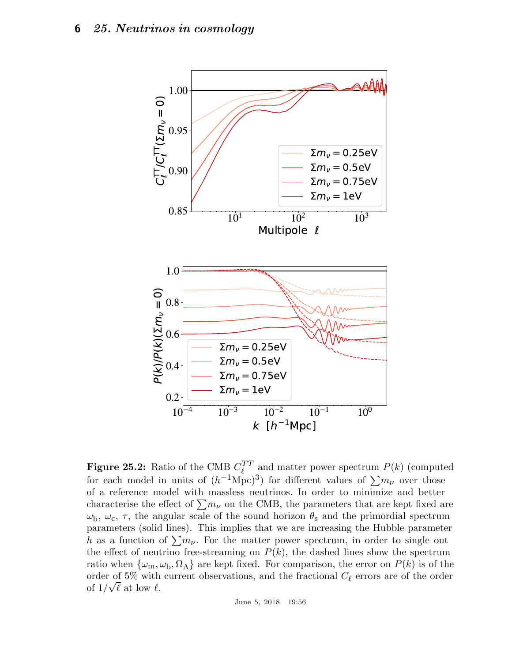

**Figure 25.2:** Ratio of the CMB  $C_{\ell}^{TT}$  $\ell^{TT}_{\ell}$  and matter power spectrum  $P(k)$  (computed for each model in units of  $(h^{-1}\text{Mpc})^3$  for different values of  $\sum m_{\nu}$  over those of a reference model with massless neutrinos. In order to minimize and better characterise the effect of  $\sum m_{\nu}$  on the CMB, the parameters that are kept fixed are  $\omega_{\rm b}$ ,  $\omega_{\rm c}$ ,  $\tau$ , the angular scale of the sound horizon  $\theta_{\rm s}$  and the primordial spectrum parameters (solid lines). This implies that we are increasing the Hubble parameter h as a function of  $\sum m_{\nu}$ . For the matter power spectrum, in order to single out the effect of neutrino free-streaming on  $P(k)$ , the dashed lines show the spectrum ratio when  $\{\omega_m, \omega_b, \Omega_\Lambda\}$  are kept fixed. For comparison, the error on  $P(k)$  is of the order of 5% with current observations, and the fractional  $C_{\ell}$  errors are of the order of  $1/\sqrt{\ell}$  at low  $\ell$ .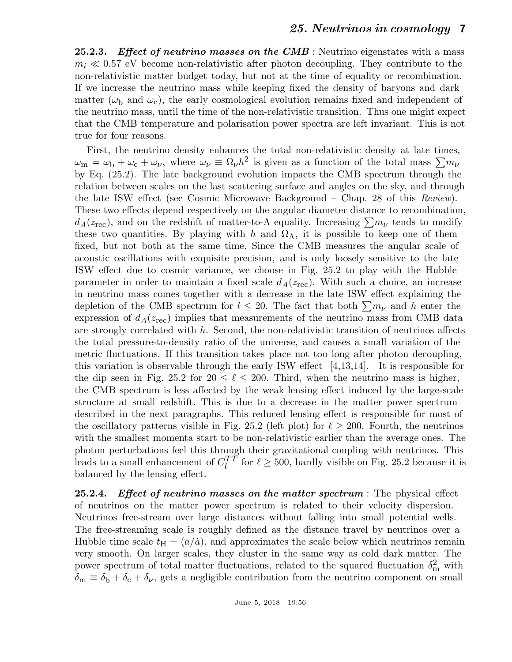**25.2.3.** Effect of neutrino masses on the CMB : Neutrino eigenstates with a mass  $m_i \ll 0.57$  eV become non-relativistic after photon decoupling. They contribute to the non-relativistic matter budget today, but not at the time of equality or recombination. If we increase the neutrino mass while keeping fixed the density of baryons and dark matter ( $\omega_{\rm b}$  and  $\omega_{\rm c}$ ), the early cosmological evolution remains fixed and independent of the neutrino mass, until the time of the non-relativistic transition. Thus one might expect that the CMB temperature and polarisation power spectra are left invariant. This is not true for four reasons.

First, the neutrino density enhances the total non-relativistic density at late times,  $\omega_{\rm m} = \omega_{\rm b} + \omega_{\rm c} + \omega_{\nu}$ , where  $\omega_{\nu} \equiv \Omega_{\nu} h^2$  is given as a function of the total mass  $\sum m_{\nu}$ by Eq. (25.2). The late background evolution impacts the CMB spectrum through the relation between scales on the last scattering surface and angles on the sky, and through the late ISW effect (see Cosmic Microwave Background – Chap. 28 of this Review). These two effects depend respectively on the angular diameter distance to recombination,  $d_A(z_{\text{rec}})$ , and on the redshift of matter-to- $\Lambda$  equality. Increasing  $\sum m_{\nu}$  tends to modify these two quantities. By playing with h and  $\Omega_{\Lambda}$ , it is possible to keep one of them fixed, but not both at the same time. Since the CMB measures the angular scale of acoustic oscillations with exquisite precision, and is only loosely sensitive to the late ISW effect due to cosmic variance, we choose in Fig. 25.2 to play with the Hubble parameter in order to maintain a fixed scale  $d_A(z_{\text{rec}})$ . With such a choice, an increase in neutrino mass comes together with a decrease in the late ISW effect explaining the depletion of the CMB spectrum for  $l \leq 20$ . The fact that both  $\sum m_{\nu}$  and h enter the expression of  $d_A(z_{\text{rec}})$  implies that measurements of the neutrino mass from CMB data are strongly correlated with  $h$ . Second, the non-relativistic transition of neutrinos affects the total pressure-to-density ratio of the universe, and causes a small variation of the metric fluctuations. If this transition takes place not too long after photon decoupling, this variation is observable through the early ISW effect  $|4,13,14|$ . It is responsible for the dip seen in Fig. 25.2 for  $20 \le \ell \le 200$ . Third, when the neutrino mass is higher, the CMB spectrum is less affected by the weak lensing effect induced by the large-scale structure at small redshift. This is due to a decrease in the matter power spectrum described in the next paragraphs. This reduced lensing effect is responsible for most of the oscillatory patterns visible in Fig. 25.2 (left plot) for  $\ell \geq 200$ . Fourth, the neutrinos with the smallest momenta start to be non-relativistic earlier than the average ones. The photon perturbations feel this through their gravitational coupling with neutrinos. This leads to a small enhancement of  $C_l^{TT}$  $\ell_l^{TT}$  for  $\ell \geq 500$ , hardly visible on Fig. 25.2 because it is balanced by the lensing effect.

25.2.4. Effect of neutrino masses on the matter spectrum : The physical effect of neutrinos on the matter power spectrum is related to their velocity dispersion. Neutrinos free-stream over large distances without falling into small potential wells. The free-streaming scale is roughly defined as the distance travel by neutrinos over a Hubble time scale  $t_{\rm H} = (a/\dot{a})$ , and approximates the scale below which neutrinos remain very smooth. On larger scales, they cluster in the same way as cold dark matter. The power spectrum of total matter fluctuations, related to the squared fluctuation  $\delta_{\rm m}^2$  with  $\delta_{\rm m} \equiv \delta_{\rm b} + \delta_{\rm c} + \delta_{\nu}$ , gets a negligible contribution from the neutrino component on small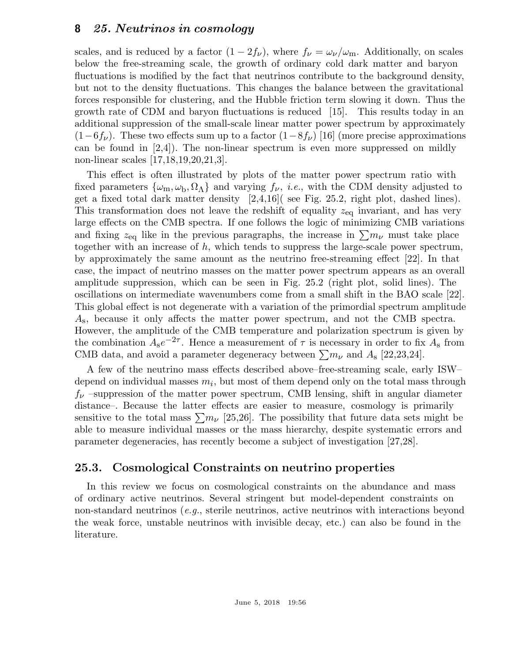scales, and is reduced by a factor  $(1 - 2f_{\nu})$ , where  $f_{\nu} = \omega_{\nu}/\omega_{\rm m}$ . Additionally, on scales below the free-streaming scale, the growth of ordinary cold dark matter and baryon fluctuations is modified by the fact that neutrinos contribute to the background density, but not to the density fluctuations. This changes the balance between the gravitational forces responsible for clustering, and the Hubble friction term slowing it down. Thus the growth rate of CDM and baryon fluctuations is reduced [15]. This results today in an additional suppression of the small-scale linear matter power spectrum by approximately  $(1-6f_{\nu})$ . These two effects sum up to a factor  $(1-8f_{\nu})$  [16] (more precise approximations can be found in  $[2,4]$ ). The non-linear spectrum is even more suppressed on mildly non-linear scales [17,18,19,20,21,3].

This effect is often illustrated by plots of the matter power spectrum ratio with fixed parameters  $\{\omega_m, \omega_b, \Omega_\Lambda\}$  and varying  $f_\nu$ , *i.e.*, with the CDM density adjusted to get a fixed total dark matter density  $[2,4,16]$  (see Fig. 25.2, right plot, dashed lines). This transformation does not leave the redshift of equality  $z_{eq}$  invariant, and has very large effects on the CMB spectra. If one follows the logic of minimizing CMB variations and fixing  $z_{eq}$  like in the previous paragraphs, the increase in  $\sum m_{\nu}$  must take place together with an increase of  $h$ , which tends to suppress the large-scale power spectrum, by approximately the same amount as the neutrino free-streaming effect [22]. In that case, the impact of neutrino masses on the matter power spectrum appears as an overall amplitude suppression, which can be seen in Fig. 25.2 (right plot, solid lines). The oscillations on intermediate wavenumbers come from a small shift in the BAO scale [22]. This global effect is not degenerate with a variation of the primordial spectrum amplitude  $A_{\rm s}$ , because it only affects the matter power spectrum, and not the CMB spectra. However, the amplitude of the CMB temperature and polarization spectrum is given by the combination  $A_{s}e^{-2\tau}$ . Hence a measurement of  $\tau$  is necessary in order to fix  $A_{s}$  from CMB data, and avoid a parameter degeneracy between  $\sum m_{\nu}$  and  $A_{\rm s}$  [22,23,24].

A few of the neutrino mass effects described above–free-streaming scale, early ISW– depend on individual masses  $m_i$ , but most of them depend only on the total mass through  $f_{\nu}$  –suppression of the matter power spectrum, CMB lensing, shift in angular diameter distance–. Because the latter effects are easier to measure, cosmology is primarily sensitive to the total mass  $\sum m_{\nu}$  [25,26]. The possibility that future data sets might be able to measure individual masses or the mass hierarchy, despite systematic errors and parameter degeneracies, has recently become a subject of investigation [27,28].

# 25.3. Cosmological Constraints on neutrino properties

In this review we focus on cosmological constraints on the abundance and mass of ordinary active neutrinos. Several stringent but model-dependent constraints on non-standard neutrinos (e.g., sterile neutrinos, active neutrinos with interactions beyond the weak force, unstable neutrinos with invisible decay, etc.) can also be found in the literature.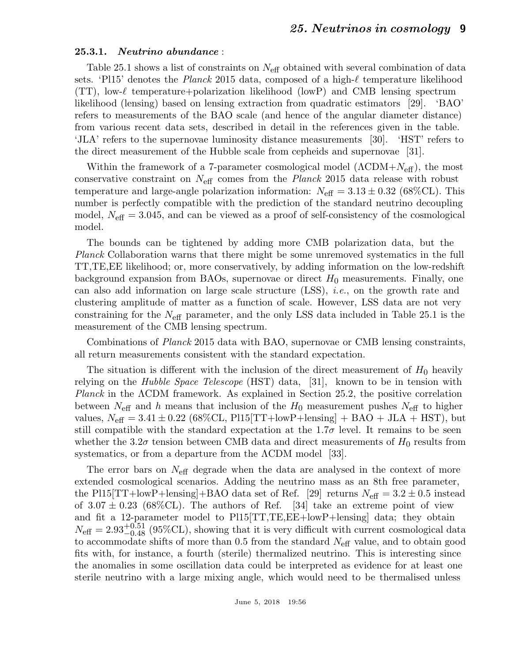#### 25.3.1. Neutrino abundance :

Table 25.1 shows a list of constraints on  $N_{\text{eff}}$  obtained with several combination of data sets. 'Pl15' denotes the *Planck* 2015 data, composed of a high-ℓ temperature likelihood  $(TT)$ , low- $\ell$  temperature+polarization likelihood (lowP) and CMB lensing spectrum likelihood (lensing) based on lensing extraction from quadratic estimators [29]. 'BAO' refers to measurements of the BAO scale (and hence of the angular diameter distance) from various recent data sets, described in detail in the references given in the table. 'JLA' refers to the supernovae luminosity distance measurements [30]. 'HST' refers to the direct measurement of the Hubble scale from cepheids and supernovae [31].

Within the framework of a 7-parameter cosmological model  $(\Lambda \text{CDM} + N_{\text{eff}})$ , the most conservative constraint on  $N_{\text{eff}}$  comes from the *Planck* 2015 data release with robust temperature and large-angle polarization information:  $N_{\text{eff}} = 3.13 \pm 0.32$  (68%CL). This number is perfectly compatible with the prediction of the standard neutrino decoupling model,  $N_{\text{eff}} = 3.045$ , and can be viewed as a proof of self-consistency of the cosmological model.

The bounds can be tightened by adding more CMB polarization data, but the Planck Collaboration warns that there might be some unremoved systematics in the full TT,TE,EE likelihood; or, more conservatively, by adding information on the low-redshift background expansion from BAOs, supernovae or direct  $H_0$  measurements. Finally, one can also add information on large scale structure (LSS), i.e., on the growth rate and clustering amplitude of matter as a function of scale. However, LSS data are not very constraining for the  $N_{\text{eff}}$  parameter, and the only LSS data included in Table 25.1 is the measurement of the CMB lensing spectrum.

Combinations of Planck 2015 data with BAO, supernovae or CMB lensing constraints, all return measurements consistent with the standard expectation.

The situation is different with the inclusion of the direct measurement of  $H_0$  heavily relying on the Hubble Space Telescope (HST) data, [31], known to be in tension with Planck in the ΛCDM framework. As explained in Section 25.2, the positive correlation between  $N_{\text{eff}}$  and h means that inclusion of the  $H_0$  measurement pushes  $N_{\text{eff}}$  to higher values,  $N_{\text{eff}} = 3.41 \pm 0.22$  (68%CL, Pl15[TT+lowP+lensing] + BAO + JLA + HST), but still compatible with the standard expectation at the  $1.7\sigma$  level. It remains to be seen whether the 3.2 $\sigma$  tension between CMB data and direct measurements of  $H_0$  results from systematics, or from a departure from the  $\Lambda$ CDM model [33].

The error bars on  $N_{\text{eff}}$  degrade when the data are analysed in the context of more extended cosmological scenarios. Adding the neutrino mass as an 8th free parameter, the Pl15[TT+lowP+lensing]+BAO data set of Ref. [29] returns  $N_{\text{eff}} = 3.2 \pm 0.5$  instead of  $3.07 \pm 0.23$  (68\%CL). The authors of Ref. [34] take an extreme point of view and fit a 12-parameter model to Pl15[TT,TE,EE+lowP+lensing] data; they obtain  $N_{\text{eff}} = 2.93_{-0.48}^{+0.51}$  (95%CL), showing that it is very difficult with current cosmological data to accommodate shifts of more than 0.5 from the standard  $N_{\text{eff}}$  value, and to obtain good fits with, for instance, a fourth (sterile) thermalized neutrino. This is interesting since the anomalies in some oscillation data could be interpreted as evidence for at least one sterile neutrino with a large mixing angle, which would need to be thermalised unless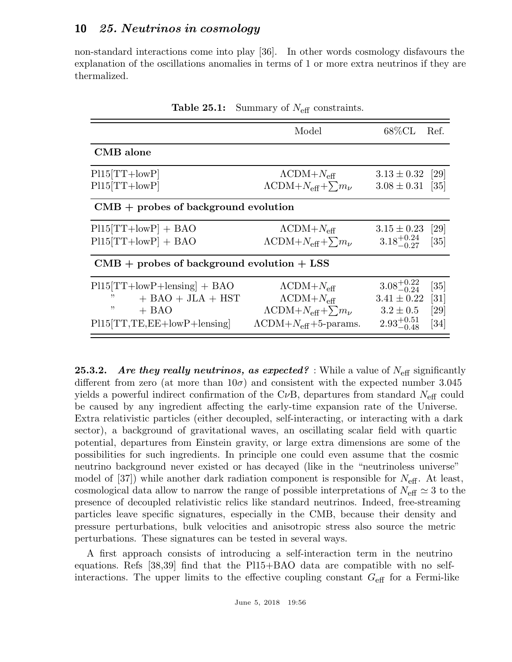non-standard interactions come into play [36]. In other words cosmology disfavours the explanation of the oscillations anomalies in terms of 1 or more extra neutrinos if they are thermalized.

|                                                                                                                | Model                                                                                                                                                              | $68\% \rm CL$                                                                        | Ref.                                                   |  |
|----------------------------------------------------------------------------------------------------------------|--------------------------------------------------------------------------------------------------------------------------------------------------------------------|--------------------------------------------------------------------------------------|--------------------------------------------------------|--|
| <b>CMB</b> alone                                                                                               |                                                                                                                                                                    |                                                                                      |                                                        |  |
| $P115[TT+lowP]$<br>$P115[TT+lowP]$                                                                             | $\Lambda$ CDM+ $N_{\text{eff}}$<br>$\Lambda$ CDM+ $N_{\text{eff}} + \sum m_{\nu}$                                                                                  | $3.13 \pm 0.32$<br>$3.08 \pm 0.31$ [35]                                              | $\left[29\right]$                                      |  |
| $CMB +$ probes of background evolution                                                                         |                                                                                                                                                                    |                                                                                      |                                                        |  |
| $P115[TT+lowP] + BAO$<br>$P115[TT+lowP] + BAO$                                                                 | $\Lambda$ CDM+ $N_{\text{eff}}$<br>$\Lambda$ CDM+ $N_{\text{eff}} + \sum m_{\nu}$                                                                                  | $3.15 \pm 0.23$<br>$3.18^{+0.24}_{-0.27}$                                            | [29]<br>$\left[35\right]$                              |  |
| $CMB +$ probes of background evolution $+$ LSS                                                                 |                                                                                                                                                                    |                                                                                      |                                                        |  |
| $P115[TT+lowP+length]$ + BAO<br>,,<br>$+$ BAO $+$ JLA $+$ HST<br>,,<br>$+$ BAO<br>$P115[TT,TE,EE+lowP+length]$ | $\Lambda$ CDM+ $N_{\text{eff}}$<br>$\Lambda$ CDM+ $N_{\text{eff}}$<br>$\Lambda$ CDM+ $N_{\text{eff}} + \sum m_{\nu}$<br>$\Lambda$ CDM+ $N_{\text{eff}}$ +5-params. | $3.08^{+0.22}_{-0.24}$<br>$3.41 \pm 0.22$<br>$3.2 \pm 0.5$<br>$2.93_{-0.48}^{+0.51}$ | [35]<br>$\left[31\right]$<br> 29 <br>$\left[34\right]$ |  |

**Table 25.1:** Summary of  $N_{\text{eff}}$  constraints.

**25.3.2.** Are they really neutrinos, as expected? : While a value of  $N_{\text{eff}}$  significantly different from zero (at more than  $10\sigma$ ) and consistent with the expected number 3.045 yields a powerful indirect confirmation of the C<sub>v</sub>B, departures from standard  $N_{\text{eff}}$  could be caused by any ingredient affecting the early-time expansion rate of the Universe. Extra relativistic particles (either decoupled, self-interacting, or interacting with a dark sector), a background of gravitational waves, an oscillating scalar field with quartic potential, departures from Einstein gravity, or large extra dimensions are some of the possibilities for such ingredients. In principle one could even assume that the cosmic neutrino background never existed or has decayed (like in the "neutrinoless universe" model of  $[37]$ ) while another dark radiation component is responsible for  $N_{\text{eff}}$ . At least, cosmological data allow to narrow the range of possible interpretations of  $N_{\text{eff}} \simeq 3$  to the presence of decoupled relativistic relics like standard neutrinos. Indeed, free-streaming particles leave specific signatures, especially in the CMB, because their density and pressure perturbations, bulk velocities and anisotropic stress also source the metric perturbations. These signatures can be tested in several ways.

A first approach consists of introducing a self-interaction term in the neutrino equations. Refs [38,39] find that the Pl15+BAO data are compatible with no selfinteractions. The upper limits to the effective coupling constant  $G_{\text{eff}}$  for a Fermi-like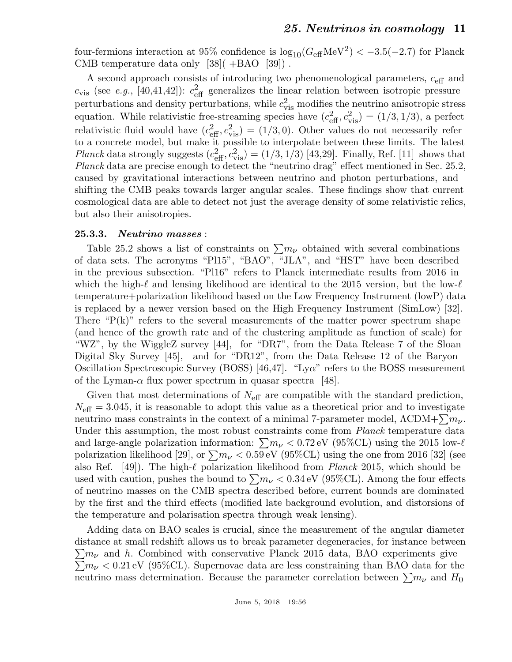four-fermions interaction at 95% confidence is  $\log_{10}(G_{\text{eff}}\text{MeV}^2) < -3.5(-2.7)$  for Planck CMB temperature data only  $[38]$ ( $+BAO$  $[39]$ ).

A second approach consists of introducing two phenomenological parameters, ceff and  $c_{\rm vis}$  (see e.g., [40,41,42]):  $c_{\rm eff}^2$  generalizes the linear relation between isotropic pressure perturbations and density perturbations, while  $c_{\text{vis}}^2$  modifies the neutrino anisotropic stress equation. While relativistic free-streaming species have  $(c_{\text{eff}}^2, c_{\text{vis}}^2) = (1/3, 1/3)$ , a perfect relativistic fluid would have  $(c_{\text{eff}}^2, c_{\text{vis}}^2) = (1/3, 0)$ . Other values do not necessarily refer to a concrete model, but make it possible to interpolate between these limits. The latest *Planck* data strongly suggests  $(c_{\text{eff}}^2, c_{\text{vis}}^2) = (1/3, 1/3)$  [43,29]. Finally, Ref. [11] shows that Planck data are precise enough to detect the "neutrino drag" effect mentioned in Sec. 25.2, caused by gravitational interactions between neutrino and photon perturbations, and shifting the CMB peaks towards larger angular scales. These findings show that current cosmological data are able to detect not just the average density of some relativistic relics, but also their anisotropies.

#### 25.3.3. Neutrino masses :

Table 25.2 shows a list of constraints on  $\sum m_{\nu}$  obtained with several combinations of data sets. The acronyms "Pl15", "BAO", "JLA", and "HST" have been described in the previous subsection. "Pl16" refers to Planck intermediate results from 2016 in which the high- $\ell$  and lensing likelihood are identical to the 2015 version, but the low- $\ell$ temperature+polarization likelihood based on the Low Frequency Instrument (lowP) data is replaced by a newer version based on the High Frequency Instrument (SimLow) [32]. There " $P(k)$ " refers to the several measurements of the matter power spectrum shape (and hence of the growth rate and of the clustering amplitude as function of scale) for "WZ", by the WiggleZ survey [44], for "DR7", from the Data Release 7 of the Sloan Digital Sky Survey [45], and for "DR12", from the Data Release 12 of the Baryon Oscillation Spectroscopic Survey (BOSS) [46,47]. "Lyα" refers to the BOSS measurement of the Lyman- $\alpha$  flux power spectrum in quasar spectra [48].

Given that most determinations of  $N_{\text{eff}}$  are compatible with the standard prediction,  $N_{\text{eff}} = 3.045$ , it is reasonable to adopt this value as a theoretical prior and to investigate neutrino mass constraints in the context of a minimal 7-parameter model,  $\Lambda \text{CDM} + \sum m_{\nu}$ . Under this assumption, the most robust constraints come from *Planck* temperature data and large-angle polarization information:  $\sum m_{\nu} < 0.72 \text{ eV}$  (95%CL) using the 2015 low- $\ell$ polarization likelihood [29], or  $\sum m_{\nu} < 0.59 \text{ eV}$  (95%CL) using the one from 2016 [32] (see also Ref. [49]). The high- $\ell$  polarization likelihood from *Planck* 2015, which should be used with caution, pushes the bound to  $\sum m_{\nu} < 0.34 \text{ eV}$  (95%CL). Among the four effects of neutrino masses on the CMB spectra described before, current bounds are dominated by the first and the third effects (modified late background evolution, and distorsions of the temperature and polarisation spectra through weak lensing).

Adding data on BAO scales is crucial, since the measurement of the angular diameter distance at small redshift allows us to break parameter degeneracies, for instance between  $\sum m_{\nu}$  and h. Combined with conservative Planck 2015 data, BAO experiments give  $\sum m_{\nu} < 0.21$  eV (95%CL). Supernovae data are less constraining than BAO data for the neutrino mass determination. Because the parameter correlation between  $\sum m_{\nu}$  and  $H_0$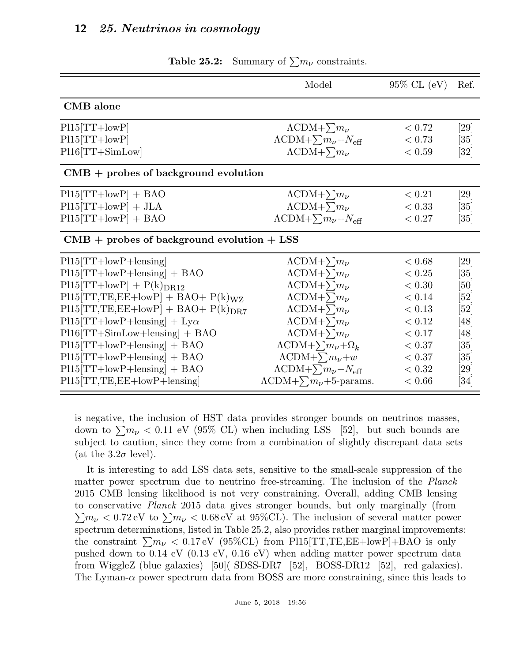|                                                | Model                                        | $95\%$ CL $(eV)$ | Ref.               |
|------------------------------------------------|----------------------------------------------|------------------|--------------------|
| CMB alone                                      |                                              |                  |                    |
| $P115[TT+lowP]$                                | $\Lambda$ CDM+ $\sum m_{\nu}$                | < 0.72           | [29]               |
| $P115[TT+lowP]$                                | $\Lambda$ CDM+ $\sum m_{\nu}+N_{\text{eff}}$ | < 0.73           | $\left[ 35\right]$ |
| $P116[TT+SimLow]$                              | $\Lambda$ CDM+ $\sum m_{\nu}$                | < 0.59           | $\left[32\right]$  |
| $CMB +$ probes of background evolution         |                                              |                  |                    |
| $P115[TT+lowP] + BAO$                          | $\Lambda$ CDM+ $\sum m_{\nu}$                | < 0.21           | [29]               |
| $P115[TT+lowP] + JLA$                          | $\Lambda$ CDM+ $\sum m_{\nu}$                | < 0.33           | [35]               |
| $P115[TT+lowP] + BAO$                          | $\Lambda$ CDM+ $\sum m_{\nu}+N_{\text{eff}}$ | < 0.27           | $\left[ 35\right]$ |
| $CMB +$ probes of background evolution $+$ LSS |                                              |                  |                    |
| $P115[TT+lowP+length]$                         | $\Lambda$ CDM+ $\sum m_{\nu}$                | < 0.68           | [29]               |
| $P115[TT+lowP+length]$ + BAO                   | $\Lambda$ CDM+ $\sum m_{\nu}$                | < 0.25           | $\left[ 35\right]$ |
| $P115[TT+lowP] + P(k)_{DR12}$                  | $\Lambda$ CDM+ $\sum m_{\nu}$                | < 0.30           | [50]               |
| $P115[TT,TE,EE+lowP] + BAO + P(k)WZ$           | $\Lambda$ CDM+ $\sum m_{\nu}$                | < 0.14           | [52]               |
| $P115[TT,TE,EE+lowP] + BAO + P(k)_{DR7}$       | $\Lambda$ CDM+ $\sum m_{\nu}$                | < 0.13           | [52]               |
| $P115[TT+lowP+length]$ + Ly $\alpha$           | $\Lambda$ CDM+ $\sum m_{\nu}$                | < 0.12           | [48]               |
| $P116[TT+SimLow+lensing] + BAO$                | $\Lambda$ CDM+ $\sum m_{\nu}$                | < 0.17           | [48]               |
| $P115[TT+lowP+length]$ + BAO                   | $\Lambda$ CDM+ $\sum m_{\nu} + \Omega_k$     | < 0.37           | [35]               |
| $P115[TT+lowP+length]$ + BAO                   | $\Lambda$ CDM+ $\sum m_{\nu}+w$              | < 0.37           | [35]               |
| $P115[TT+lowP+length]$ + BAO                   | $\Lambda$ CDM+ $\sum m_{\nu}+N_{\text{eff}}$ | < 0.32           | [29]               |
| $P115[TT, TE, EE+lowP+length]$                 | $\Lambda$ CDM+ $\sum m_{\nu}$ +5-params.     | < 0.66           | $\left[ 34\right]$ |

**Table 25.2:** Summary of  $\sum m_{\nu}$  constraints.

is negative, the inclusion of HST data provides stronger bounds on neutrinos masses, down to  $\sum m_{\nu} < 0.11$  eV (95% CL) when including LSS [52], but such bounds are subject to caution, since they come from a combination of slightly discrepant data sets (at the  $3.2\sigma$  level).

It is interesting to add LSS data sets, sensitive to the small-scale suppression of the matter power spectrum due to neutrino free-streaming. The inclusion of the Planck 2015 CMB lensing likelihood is not very constraining. Overall, adding CMB lensing to conservative Planck 2015 data gives stronger bounds, but only marginally (from  $\sum m_{\nu} < 0.72 \,\text{eV}$  to  $\sum m_{\nu} < 0.68 \,\text{eV}$  at 95%CL). The inclusion of several matter power spectrum determinations, listed in Table 25.2, also provides rather marginal improvements: the constraint  $\sum m_{\nu} < 0.17 \text{ eV}$  (95%CL) from Pl15[TT,TE,EE+lowP]+BAO is only pushed down to 0.14 eV (0.13 eV, 0.16 eV) when adding matter power spectrum data from WiggleZ (blue galaxies) [50]( SDSS-DR7 [52], BOSS-DR12 [52], red galaxies). The Lyman- $\alpha$  power spectrum data from BOSS are more constraining, since this leads to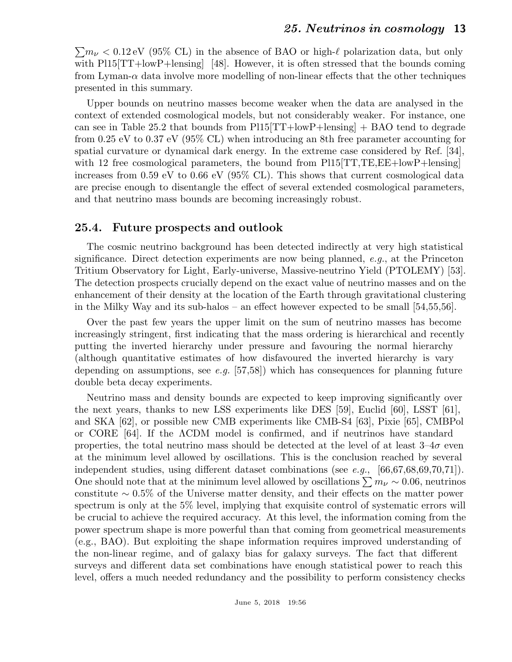$\sum m_{\nu} < 0.12$  eV (95% CL) in the absence of BAO or high- $\ell$  polarization data, but only with Pl15[TT+lowP+lensing] [48]. However, it is often stressed that the bounds coming from Lyman- $\alpha$  data involve more modelling of non-linear effects that the other techniques presented in this summary.

Upper bounds on neutrino masses become weaker when the data are analysed in the context of extended cosmological models, but not considerably weaker. For instance, one can see in Table 25.2 that bounds from  $P115[TT+lowP+lensing]$  + BAO tend to degrade from 0.25 eV to 0.37 eV (95% CL) when introducing an 8th free parameter accounting for spatial curvature or dynamical dark energy. In the extreme case considered by Ref. [34], with 12 free cosmological parameters, the bound from  $P115[TT,TE,EE+lowP+lensing]$ increases from 0.59 eV to 0.66 eV (95% CL). This shows that current cosmological data are precise enough to disentangle the effect of several extended cosmological parameters, and that neutrino mass bounds are becoming increasingly robust.

### 25.4. Future prospects and outlook

The cosmic neutrino background has been detected indirectly at very high statistical significance. Direct detection experiments are now being planned,  $e.g.,$  at the Princeton Tritium Observatory for Light, Early-universe, Massive-neutrino Yield (PTOLEMY) [53]. The detection prospects crucially depend on the exact value of neutrino masses and on the enhancement of their density at the location of the Earth through gravitational clustering in the Milky Way and its sub-halos – an effect however expected to be small [54,55,56].

Over the past few years the upper limit on the sum of neutrino masses has become increasingly stringent, first indicating that the mass ordering is hierarchical and recently putting the inverted hierarchy under pressure and favouring the normal hierarchy (although quantitative estimates of how disfavoured the inverted hierarchy is vary depending on assumptions, see e.g.  $[57,58]$ ) which has consequences for planning future double beta decay experiments.

Neutrino mass and density bounds are expected to keep improving significantly over the next years, thanks to new LSS experiments like DES [59], Euclid [60], LSST [61], and SKA [62], or possible new CMB experiments like CMB-S4 [63], Pixie [65], CMBPol or CORE [64]. If the ΛCDM model is confirmed, and if neutrinos have standard properties, the total neutrino mass should be detected at the level of at least  $3-4\sigma$  even at the minimum level allowed by oscillations. This is the conclusion reached by several independent studies, using different dataset combinations (see e.g., [66,67,68,69,70,71]). One should note that at the minimum level allowed by oscillations  $\sum m_{\nu} \sim 0.06$ , neutrinos constitute  $\sim 0.5\%$  of the Universe matter density, and their effects on the matter power spectrum is only at the 5% level, implying that exquisite control of systematic errors will be crucial to achieve the required accuracy. At this level, the information coming from the power spectrum shape is more powerful than that coming from geometrical measurements (e.g., BAO). But exploiting the shape information requires improved understanding of the non-linear regime, and of galaxy bias for galaxy surveys. The fact that different surveys and different data set combinations have enough statistical power to reach this level, offers a much needed redundancy and the possibility to perform consistency checks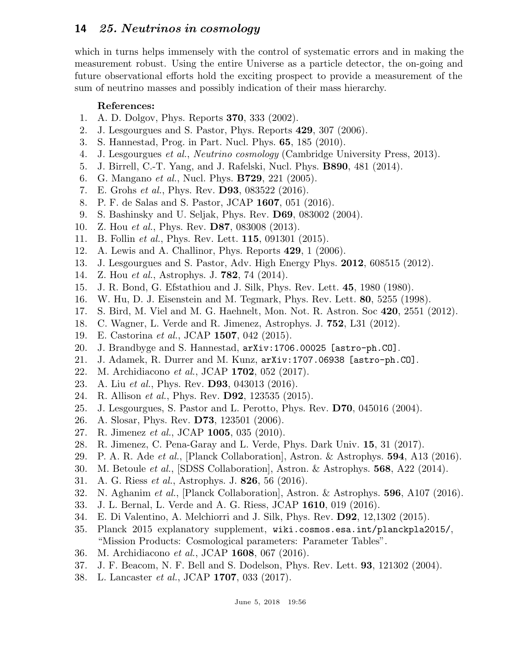which in turns helps immensely with the control of systematic errors and in making the measurement robust. Using the entire Universe as a particle detector, the on-going and future observational efforts hold the exciting prospect to provide a measurement of the sum of neutrino masses and possibly indication of their mass hierarchy.

## References:

- 1. A. D. Dolgov, Phys. Reports 370, 333 (2002).
- 2. J. Lesgourgues and S. Pastor, Phys. Reports 429, 307 (2006).
- 3. S. Hannestad, Prog. in Part. Nucl. Phys. 65, 185 (2010).
- 4. J. Lesgourgues et al., Neutrino cosmology (Cambridge University Press, 2013).
- 5. J. Birrell, C.-T. Yang, and J. Rafelski, Nucl. Phys. B890, 481 (2014).
- 6. G. Mangano et al., Nucl. Phys. B729, 221 (2005).
- 7. E. Grohs et al., Phys. Rev. D93, 083522 (2016).
- 8. P. F. de Salas and S. Pastor, JCAP 1607, 051 (2016).
- 9. S. Bashinsky and U. Seljak, Phys. Rev. D69, 083002 (2004).
- 10. Z. Hou *et al.*, Phys. Rev. **D87**, 083008 (2013).
- 11. B. Follin *et al.*, Phys. Rev. Lett. **115**, 091301 (2015).
- 12. A. Lewis and A. Challinor, Phys. Reports 429, 1 (2006).
- 13. J. Lesgourgues and S. Pastor, Adv. High Energy Phys. 2012, 608515 (2012).
- 14. Z. Hou et al., Astrophys. J. 782, 74 (2014).
- 15. J. R. Bond, G. Efstathiou and J. Silk, Phys. Rev. Lett. 45, 1980 (1980).
- 16. W. Hu, D. J. Eisenstein and M. Tegmark, Phys. Rev. Lett. 80, 5255 (1998).
- 17. S. Bird, M. Viel and M. G. Haehnelt, Mon. Not. R. Astron. Soc 420, 2551 (2012).
- 18. C. Wagner, L. Verde and R. Jimenez, Astrophys. J. 752, L31 (2012).
- 19. E. Castorina et al., JCAP 1507, 042 (2015).
- 20. J. Brandbyge and S. Hannestad, arXiv:1706.00025 [astro-ph.CO].
- 21. J. Adamek, R. Durrer and M. Kunz, arXiv:1707.06938 [astro-ph.CO].
- 22. M. Archidiacono et al., JCAP 1702, 052 (2017).
- 23. A. Liu et al., Phys. Rev. D93, 043013 (2016).
- 24. R. Allison *et al.*, Phys. Rev. **D92**, 123535 (2015).
- 25. J. Lesgourgues, S. Pastor and L. Perotto, Phys. Rev. D70, 045016 (2004).
- 26. A. Slosar, Phys. Rev. D73, 123501 (2006).
- 27. R. Jimenez et al., JCAP 1005, 035 (2010).
- 28. R. Jimenez, C. Pena-Garay and L. Verde, Phys. Dark Univ. 15, 31 (2017).
- 29. P. A. R. Ade et al., [Planck Collaboration], Astron. & Astrophys. 594, A13 (2016).
- 30. M. Betoule et al., [SDSS Collaboration], Astron. & Astrophys. 568, A22 (2014).
- 31. A. G. Riess et al., Astrophys. J. 826, 56 (2016).
- 32. N. Aghanim et al., [Planck Collaboration], Astron. & Astrophys. 596, A107 (2016).
- 33. J. L. Bernal, L. Verde and A. G. Riess, JCAP 1610, 019 (2016).
- 34. E. Di Valentino, A. Melchiorri and J. Silk, Phys. Rev. D92, 12,1302 (2015).
- 35. Planck 2015 explanatory supplement, wiki.cosmos.esa.int/planckpla2015/, "Mission Products: Cosmological parameters: Parameter Tables".
- 36. M. Archidiacono et al., JCAP 1608, 067 (2016).
- 37. J. F. Beacom, N. F. Bell and S. Dodelson, Phys. Rev. Lett. 93, 121302 (2004).
- 38. L. Lancaster et al., JCAP 1707, 033 (2017).